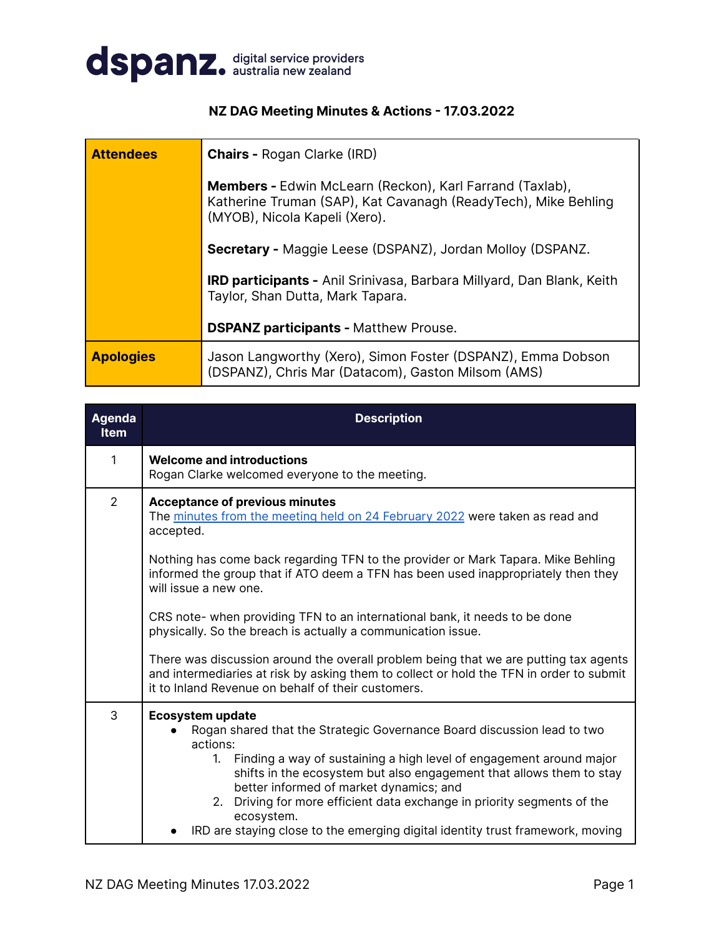

## **NZ DAG Meeting Minutes & Actions - 17.03.2022**

| <b>Attendees</b> | <b>Chairs - Rogan Clarke (IRD)</b>                                                                                                                                 |
|------------------|--------------------------------------------------------------------------------------------------------------------------------------------------------------------|
|                  | <b>Members -</b> Edwin McLearn (Reckon), Karl Farrand (Taxlab),<br>Katherine Truman (SAP), Kat Cavanagh (ReadyTech), Mike Behling<br>(MYOB), Nicola Kapeli (Xero). |
|                  | <b>Secretary - Maggie Leese (DSPANZ), Jordan Molloy (DSPANZ.</b>                                                                                                   |
|                  | <b>IRD participants - Anil Srinivasa, Barbara Millyard, Dan Blank, Keith</b><br>Taylor, Shan Dutta, Mark Tapara.                                                   |
|                  | <b>DSPANZ participants - Matthew Prouse.</b>                                                                                                                       |
| <b>Apologies</b> | Jason Langworthy (Xero), Simon Foster (DSPANZ), Emma Dobson<br>(DSPANZ), Chris Mar (Datacom), Gaston Milsom (AMS)                                                  |

| <b>Agenda</b><br><b>Item</b> | <b>Description</b>                                                                                                                                                                                                                                                                                                                                                                                                                                                                     |
|------------------------------|----------------------------------------------------------------------------------------------------------------------------------------------------------------------------------------------------------------------------------------------------------------------------------------------------------------------------------------------------------------------------------------------------------------------------------------------------------------------------------------|
| 1                            | <b>Welcome and introductions</b><br>Rogan Clarke welcomed everyone to the meeting.                                                                                                                                                                                                                                                                                                                                                                                                     |
| $\overline{2}$               | <b>Acceptance of previous minutes</b><br>The minutes from the meeting held on 24 February 2022 were taken as read and<br>accepted.                                                                                                                                                                                                                                                                                                                                                     |
|                              | Nothing has come back regarding TFN to the provider or Mark Tapara. Mike Behling<br>informed the group that if ATO deem a TFN has been used inappropriately then they<br>will issue a new one.                                                                                                                                                                                                                                                                                         |
|                              | CRS note- when providing TFN to an international bank, it needs to be done<br>physically. So the breach is actually a communication issue.                                                                                                                                                                                                                                                                                                                                             |
|                              | There was discussion around the overall problem being that we are putting tax agents<br>and intermediaries at risk by asking them to collect or hold the TFN in order to submit<br>it to Inland Revenue on behalf of their customers.                                                                                                                                                                                                                                                  |
| 3                            | <b>Ecosystem update</b><br>Rogan shared that the Strategic Governance Board discussion lead to two<br>actions:<br>1. Finding a way of sustaining a high level of engagement around major<br>shifts in the ecosystem but also engagement that allows them to stay<br>better informed of market dynamics; and<br>2. Driving for more efficient data exchange in priority segments of the<br>ecosystem.<br>IRD are staying close to the emerging digital identity trust framework, moving |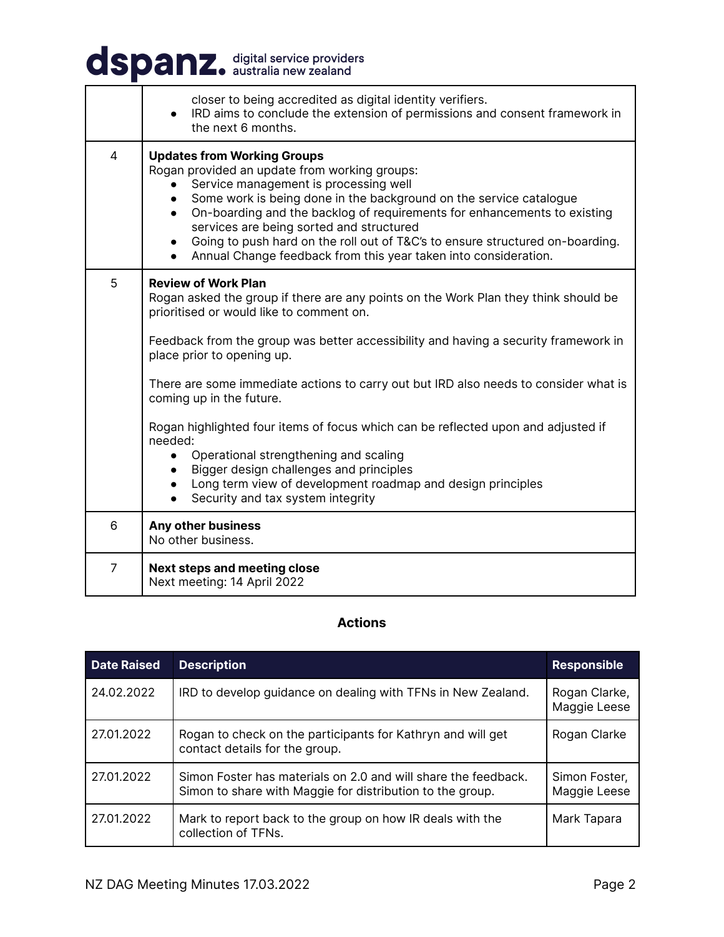|                | dspanz. digital service providers                                                                                                                                                                                                                                                                                                                                                                                                                                                                                                                                                                                                                                                                                        |
|----------------|--------------------------------------------------------------------------------------------------------------------------------------------------------------------------------------------------------------------------------------------------------------------------------------------------------------------------------------------------------------------------------------------------------------------------------------------------------------------------------------------------------------------------------------------------------------------------------------------------------------------------------------------------------------------------------------------------------------------------|
|                | closer to being accredited as digital identity verifiers.<br>IRD aims to conclude the extension of permissions and consent framework in<br>the next 6 months.                                                                                                                                                                                                                                                                                                                                                                                                                                                                                                                                                            |
| 4              | <b>Updates from Working Groups</b><br>Rogan provided an update from working groups:<br>Service management is processing well<br>Some work is being done in the background on the service catalogue<br>$\bullet$<br>On-boarding and the backlog of requirements for enhancements to existing<br>$\bullet$<br>services are being sorted and structured<br>Going to push hard on the roll out of T&C's to ensure structured on-boarding.<br>$\bullet$<br>Annual Change feedback from this year taken into consideration.<br>$\bullet$                                                                                                                                                                                       |
| 5              | <b>Review of Work Plan</b><br>Rogan asked the group if there are any points on the Work Plan they think should be<br>prioritised or would like to comment on.<br>Feedback from the group was better accessibility and having a security framework in<br>place prior to opening up.<br>There are some immediate actions to carry out but IRD also needs to consider what is<br>coming up in the future.<br>Rogan highlighted four items of focus which can be reflected upon and adjusted if<br>needed:<br>Operational strengthening and scaling<br>Bigger design challenges and principles<br>$\bullet$<br>Long term view of development roadmap and design principles<br>$\bullet$<br>Security and tax system integrity |
| 6              | <b>Any other business</b><br>No other business.                                                                                                                                                                                                                                                                                                                                                                                                                                                                                                                                                                                                                                                                          |
| $\overline{7}$ | <b>Next steps and meeting close</b><br>Next meeting: 14 April 2022                                                                                                                                                                                                                                                                                                                                                                                                                                                                                                                                                                                                                                                       |

## **Actions**

| <b>Date Raised</b> | <b>Description</b>                                                                                                          | <b>Responsible</b>            |
|--------------------|-----------------------------------------------------------------------------------------------------------------------------|-------------------------------|
| 24.02.2022         | IRD to develop guidance on dealing with TFNs in New Zealand.                                                                | Rogan Clarke,<br>Maggie Leese |
| 27.01.2022         | Rogan to check on the participants for Kathryn and will get<br>contact details for the group.                               | Rogan Clarke                  |
| 27.01.2022         | Simon Foster has materials on 2.0 and will share the feedback.<br>Simon to share with Maggie for distribution to the group. | Simon Foster,<br>Maggie Leese |
| 27.01.2022         | Mark to report back to the group on how IR deals with the<br>collection of TFNs.                                            | Mark Tapara                   |

al a 1